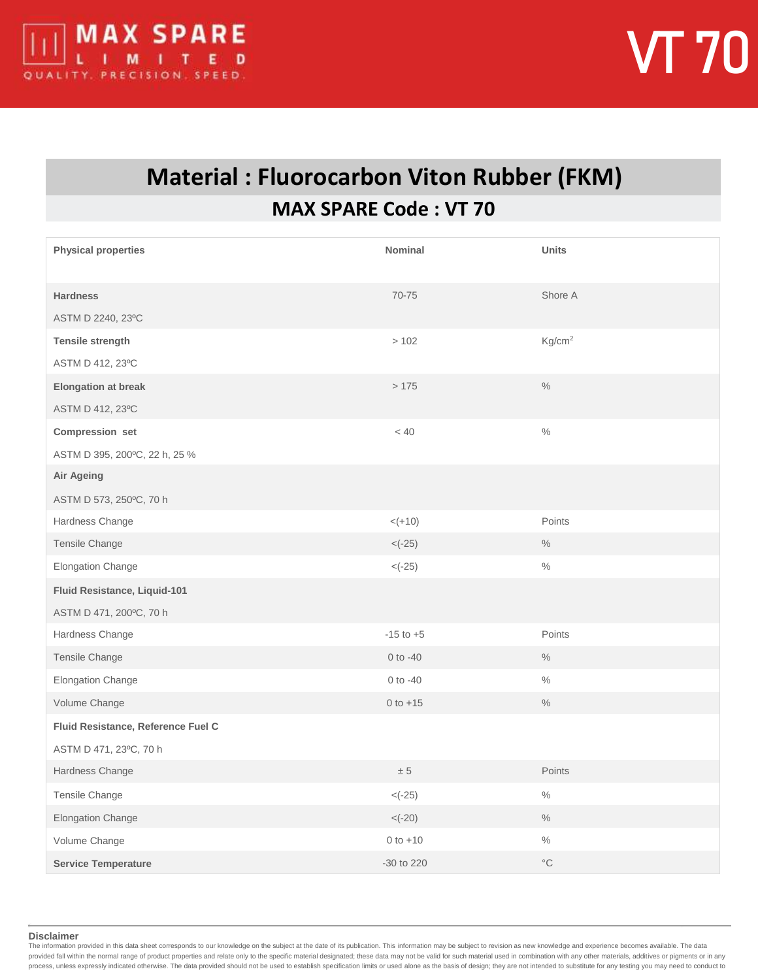

## **Material : Fluorocarbon Viton Rubber (FKM) MAX SPARE Code : VT 70**

| <b>Physical properties</b>         | <b>Nominal</b> | <b>Units</b>       |
|------------------------------------|----------------|--------------------|
| <b>Hardness</b>                    | 70-75          | Shore A            |
| ASTM D 2240, 23°C                  |                |                    |
| <b>Tensile strength</b>            | >102           | Kg/cm <sup>2</sup> |
| ASTM D 412, 23°C                   |                |                    |
| <b>Elongation at break</b>         | >175           | $\%$               |
| ASTM D 412, 23°C                   |                |                    |
| Compression set                    | < 40           | $\%$               |
| ASTM D 395, 200°C, 22 h, 25 %      |                |                    |
| Air Ageing                         |                |                    |
| ASTM D 573, 250°C, 70 h            |                |                    |
| Hardness Change                    | $< (+10)$      | Points             |
| Tensile Change                     | $< (-25)$      | $\%$               |
| Elongation Change                  | $< (-25)$      | $\frac{0}{0}$      |
| Fluid Resistance, Liquid-101       |                |                    |
| ASTM D 471, 200°C, 70 h            |                |                    |
| Hardness Change                    | $-15$ to $+5$  | Points             |
| Tensile Change                     | $0$ to $-40$   | $\%$               |
| Elongation Change                  | $0$ to $-40$   | $\%$               |
| Volume Change                      | $0 to +15$     | $\frac{0}{0}$      |
| Fluid Resistance, Reference Fuel C |                |                    |
| ASTM D 471, 23°C, 70 h             |                |                    |
| Hardness Change                    | $\pm$ 5        | Points             |
| Tensile Change                     | $< (-25)$      | $\%$               |
| Elongation Change                  | $< (-20)$      | $\frac{0}{0}$      |
| Volume Change                      | $0 to +10$     | $\%$               |
| <b>Service Temperature</b>         | -30 to 220     | $^{\circ}{\rm C}$  |

**Disclaimer**

The information provided in this data sheet corresponds to our knowledge on the subject at the date of its publication. This information may be subject to revision as new knowledge and experience becomes available. The dat provided fall within the normal range of product properties and relate only to the specific material designated; these data may not be valid for such material used in combination with any other materials, additives or pigm process, unless expressly indicated otherwise. The data provided should not be used to establish specification limits or used alone as the basis of design; they are not intended to substitute for any testing you may need t